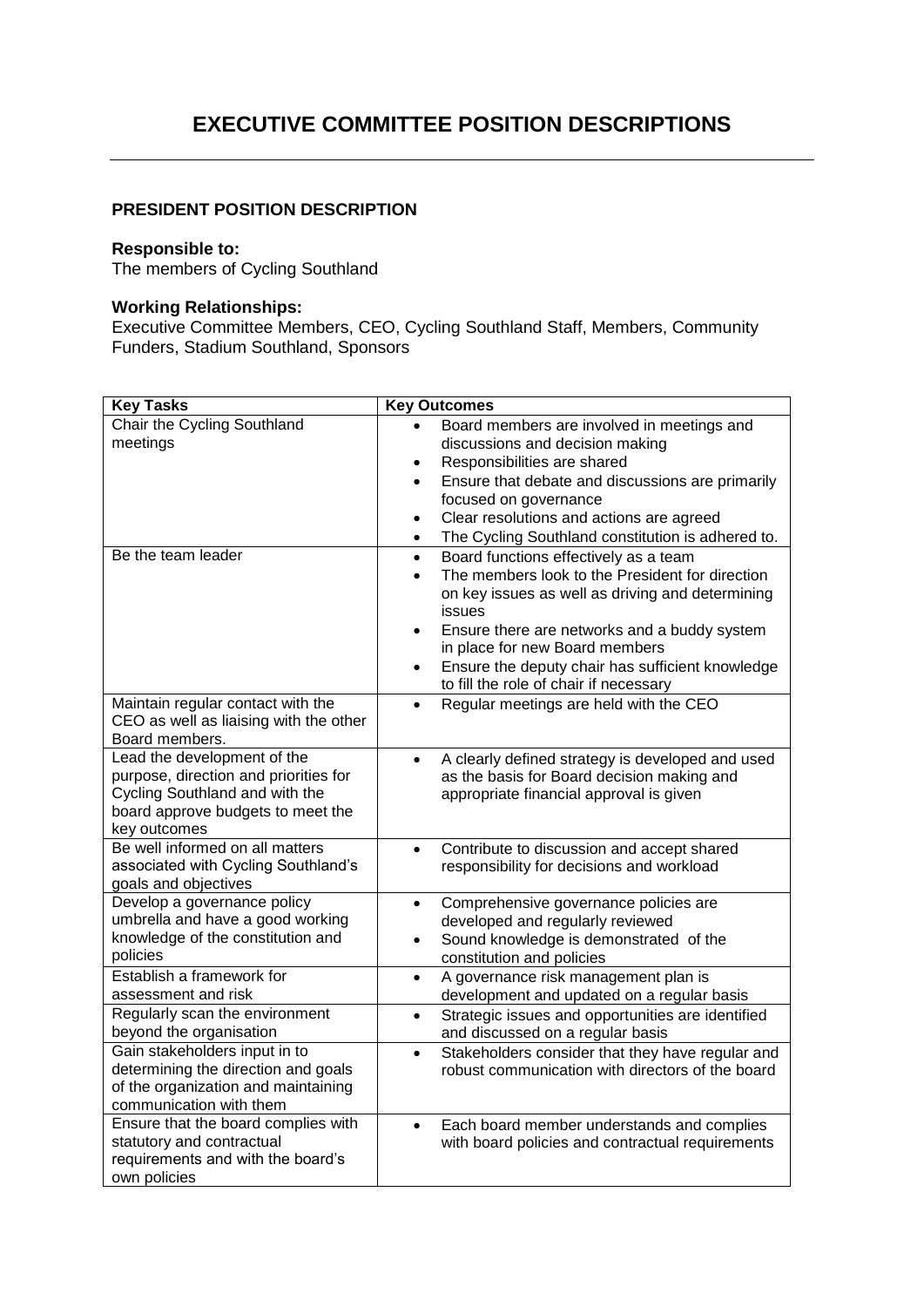## **PRESIDENT POSITION DESCRIPTION**

#### **Responsible to:**

The members of Cycling Southland

## **Working Relationships:**

Executive Committee Members, CEO, Cycling Southland Staff, Members, Community Funders, Stadium Southland, Sponsors

| <b>Key Tasks</b>                                                                                                                                            | <b>Key Outcomes</b>                                                                                                                                                                                                                                                                                                                                                                                                                                                                                                                                                                                                                                                                                                     |
|-------------------------------------------------------------------------------------------------------------------------------------------------------------|-------------------------------------------------------------------------------------------------------------------------------------------------------------------------------------------------------------------------------------------------------------------------------------------------------------------------------------------------------------------------------------------------------------------------------------------------------------------------------------------------------------------------------------------------------------------------------------------------------------------------------------------------------------------------------------------------------------------------|
| Chair the Cycling Southland<br>meetings<br>Be the team leader                                                                                               | Board members are involved in meetings and<br>discussions and decision making<br>Responsibilities are shared<br>٠<br>Ensure that debate and discussions are primarily<br>$\bullet$<br>focused on governance<br>Clear resolutions and actions are agreed<br>$\bullet$<br>The Cycling Southland constitution is adhered to.<br>Board functions effectively as a team<br>$\bullet$<br>The members look to the President for direction<br>$\bullet$<br>on key issues as well as driving and determining<br>issues<br>Ensure there are networks and a buddy system<br>$\bullet$<br>in place for new Board members<br>Ensure the deputy chair has sufficient knowledge<br>$\bullet$<br>to fill the role of chair if necessary |
| Maintain regular contact with the<br>CEO as well as liaising with the other<br>Board members.                                                               | Regular meetings are held with the CEO<br>$\bullet$                                                                                                                                                                                                                                                                                                                                                                                                                                                                                                                                                                                                                                                                     |
| Lead the development of the<br>purpose, direction and priorities for<br>Cycling Southland and with the<br>board approve budgets to meet the<br>key outcomes | A clearly defined strategy is developed and used<br>$\bullet$<br>as the basis for Board decision making and<br>appropriate financial approval is given                                                                                                                                                                                                                                                                                                                                                                                                                                                                                                                                                                  |
| Be well informed on all matters<br>associated with Cycling Southland's<br>goals and objectives                                                              | Contribute to discussion and accept shared<br>$\bullet$<br>responsibility for decisions and workload                                                                                                                                                                                                                                                                                                                                                                                                                                                                                                                                                                                                                    |
| Develop a governance policy<br>umbrella and have a good working<br>knowledge of the constitution and<br>policies                                            | Comprehensive governance policies are<br>$\bullet$<br>developed and regularly reviewed<br>Sound knowledge is demonstrated of the<br>$\bullet$<br>constitution and policies                                                                                                                                                                                                                                                                                                                                                                                                                                                                                                                                              |
| Establish a framework for<br>assessment and risk                                                                                                            | A governance risk management plan is<br>$\bullet$<br>development and updated on a regular basis                                                                                                                                                                                                                                                                                                                                                                                                                                                                                                                                                                                                                         |
| Regularly scan the environment<br>beyond the organisation                                                                                                   | Strategic issues and opportunities are identified<br>$\bullet$<br>and discussed on a regular basis                                                                                                                                                                                                                                                                                                                                                                                                                                                                                                                                                                                                                      |
| Gain stakeholders input in to<br>determining the direction and goals<br>of the organization and maintaining<br>communication with them                      | Stakeholders consider that they have regular and<br>$\bullet$<br>robust communication with directors of the board                                                                                                                                                                                                                                                                                                                                                                                                                                                                                                                                                                                                       |
| Ensure that the board complies with<br>statutory and contractual<br>requirements and with the board's<br>own policies                                       | Each board member understands and complies<br>$\bullet$<br>with board policies and contractual requirements                                                                                                                                                                                                                                                                                                                                                                                                                                                                                                                                                                                                             |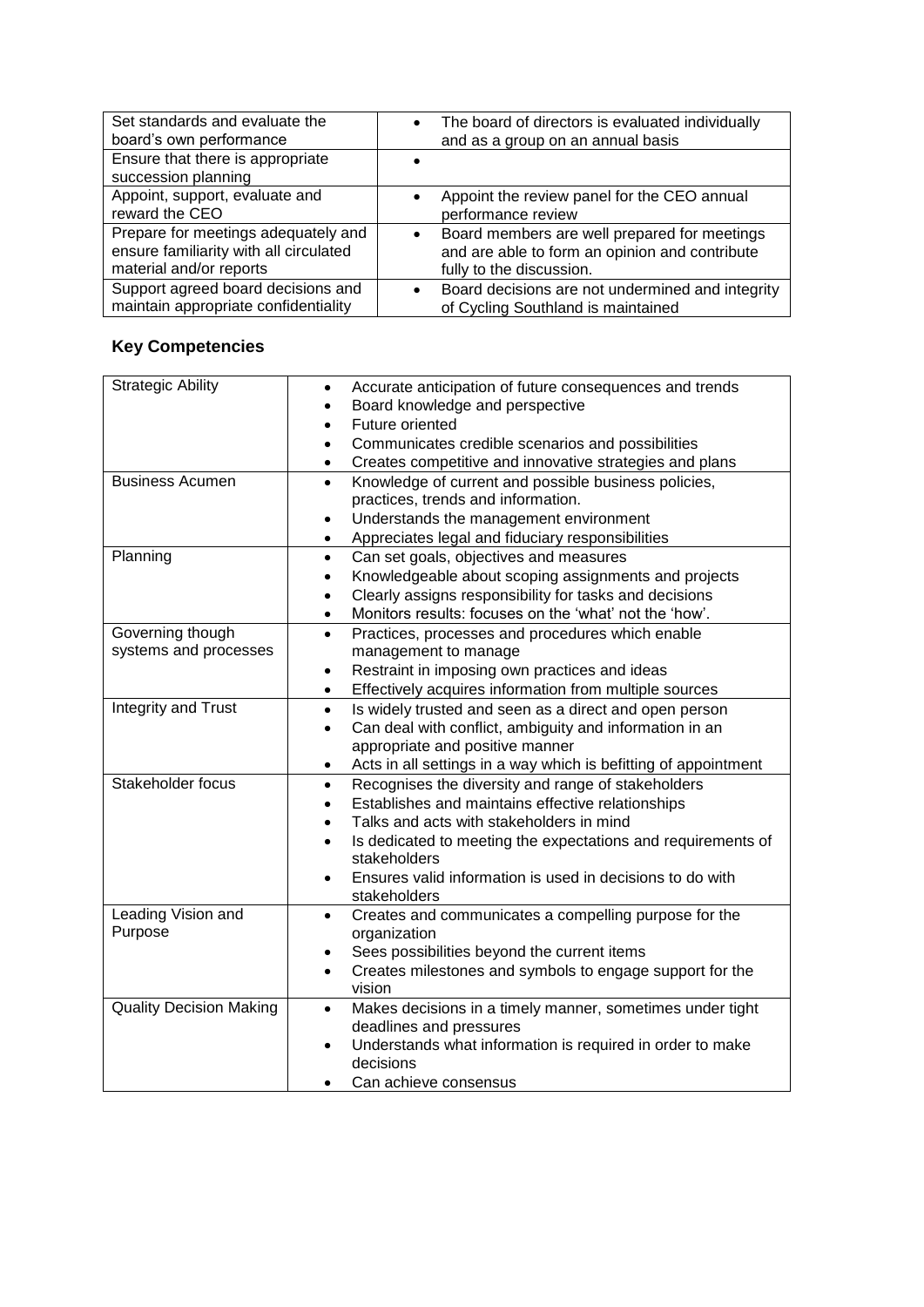| Set standards and evaluate the                          | The board of directors is evaluated individually |
|---------------------------------------------------------|--------------------------------------------------|
| board's own performance                                 | and as a group on an annual basis                |
| Ensure that there is appropriate<br>succession planning |                                                  |
| Appoint, support, evaluate and                          | Appoint the review panel for the CEO annual      |
| reward the CEO                                          | performance review                               |
| Prepare for meetings adequately and                     | Board members are well prepared for meetings     |
| ensure familiarity with all circulated                  | and are able to form an opinion and contribute   |
| material and/or reports                                 | fully to the discussion.                         |
| Support agreed board decisions and                      | Board decisions are not undermined and integrity |
| maintain appropriate confidentiality                    | of Cycling Southland is maintained               |

# **Key Competencies**

| <b>Strategic Ability</b>       | Accurate anticipation of future consequences and trends<br>$\bullet$                      |
|--------------------------------|-------------------------------------------------------------------------------------------|
|                                | Board knowledge and perspective                                                           |
|                                | Future oriented<br>$\bullet$                                                              |
|                                | Communicates credible scenarios and possibilities<br>$\bullet$                            |
|                                | Creates competitive and innovative strategies and plans<br>$\bullet$                      |
| <b>Business Acumen</b>         | Knowledge of current and possible business policies,<br>$\bullet$                         |
|                                | practices, trends and information.                                                        |
|                                | Understands the management environment<br>$\bullet$                                       |
|                                | Appreciates legal and fiduciary responsibilities<br>$\bullet$                             |
| Planning                       | Can set goals, objectives and measures<br>$\bullet$                                       |
|                                | Knowledgeable about scoping assignments and projects<br>$\bullet$                         |
|                                | Clearly assigns responsibility for tasks and decisions<br>$\bullet$                       |
|                                | Monitors results: focuses on the 'what' not the 'how'.<br>$\bullet$                       |
| Governing though               | Practices, processes and procedures which enable<br>$\bullet$                             |
| systems and processes          | management to manage                                                                      |
|                                | Restraint in imposing own practices and ideas<br>$\bullet$                                |
|                                | Effectively acquires information from multiple sources<br>$\bullet$                       |
| Integrity and Trust            | Is widely trusted and seen as a direct and open person<br>$\bullet$                       |
|                                | Can deal with conflict, ambiguity and information in an<br>$\bullet$                      |
|                                | appropriate and positive manner                                                           |
|                                | Acts in all settings in a way which is befitting of appointment<br>$\bullet$              |
| Stakeholder focus              | Recognises the diversity and range of stakeholders<br>$\bullet$                           |
|                                | Establishes and maintains effective relationships<br>$\bullet$                            |
|                                | Talks and acts with stakeholders in mind<br>$\bullet$                                     |
|                                | Is dedicated to meeting the expectations and requirements of<br>$\bullet$<br>stakeholders |
|                                | Ensures valid information is used in decisions to do with<br>$\bullet$                    |
|                                | stakeholders                                                                              |
| Leading Vision and             | Creates and communicates a compelling purpose for the<br>$\bullet$                        |
| Purpose                        | organization                                                                              |
|                                | Sees possibilities beyond the current items<br>٠                                          |
|                                | Creates milestones and symbols to engage support for the<br>$\bullet$                     |
|                                | vision                                                                                    |
| <b>Quality Decision Making</b> | Makes decisions in a timely manner, sometimes under tight<br>$\bullet$                    |
|                                | deadlines and pressures                                                                   |
|                                | Understands what information is required in order to make                                 |
|                                | decisions                                                                                 |
|                                | Can achieve consensus                                                                     |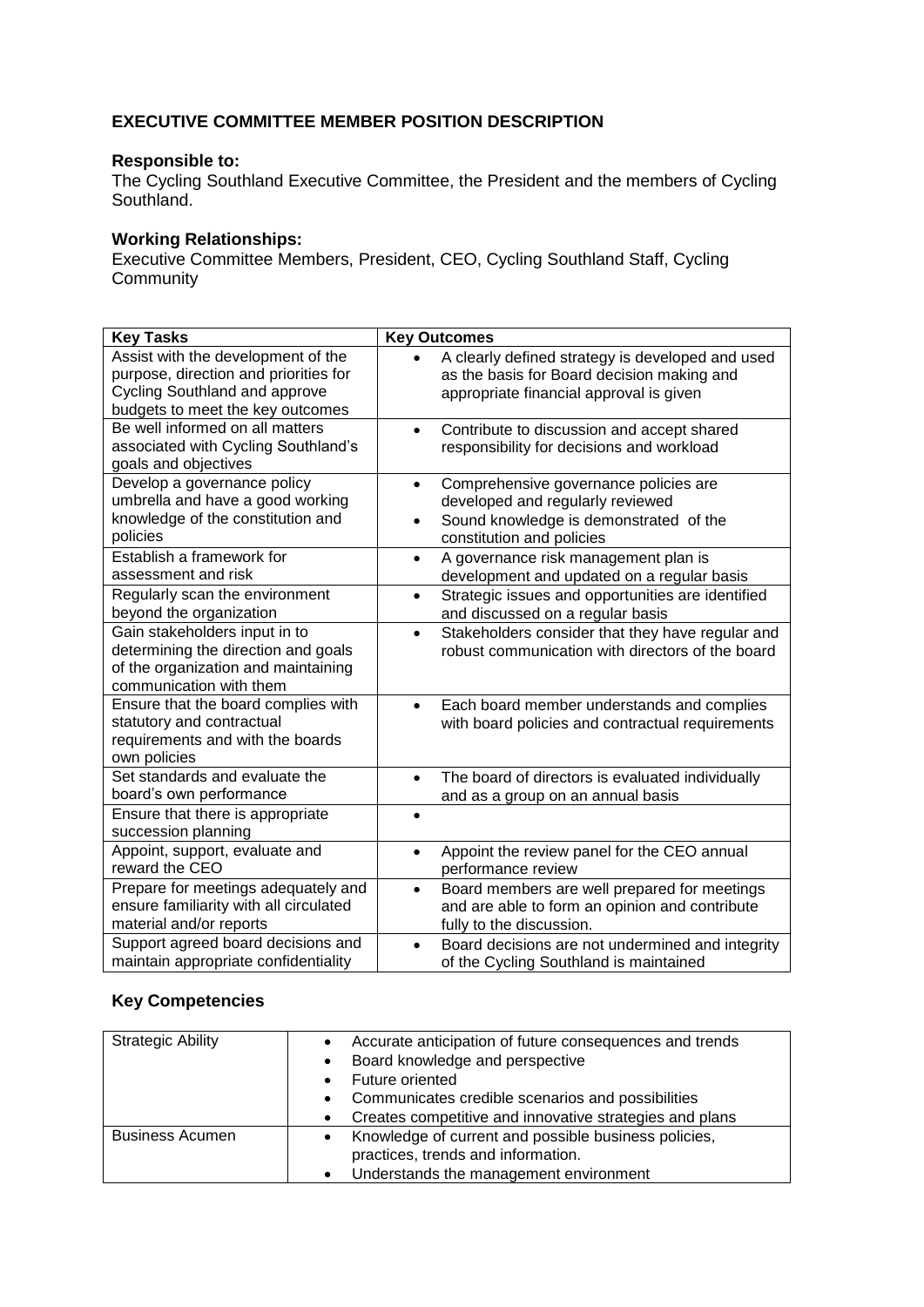## **EXECUTIVE COMMITTEE MEMBER POSITION DESCRIPTION**

#### **Responsible to:**

The Cycling Southland Executive Committee, the President and the members of Cycling Southland.

## **Working Relationships:**

Executive Committee Members, President, CEO, Cycling Southland Staff, Cycling **Community** 

| <b>Key Tasks</b>                                                                                                                                 | <b>Key Outcomes</b>                                                                                                                                                        |
|--------------------------------------------------------------------------------------------------------------------------------------------------|----------------------------------------------------------------------------------------------------------------------------------------------------------------------------|
| Assist with the development of the<br>purpose, direction and priorities for<br>Cycling Southland and approve<br>budgets to meet the key outcomes | A clearly defined strategy is developed and used<br>as the basis for Board decision making and<br>appropriate financial approval is given                                  |
| Be well informed on all matters<br>associated with Cycling Southland's<br>goals and objectives                                                   | Contribute to discussion and accept shared<br>$\bullet$<br>responsibility for decisions and workload                                                                       |
| Develop a governance policy<br>umbrella and have a good working<br>knowledge of the constitution and<br>policies                                 | Comprehensive governance policies are<br>$\bullet$<br>developed and regularly reviewed<br>Sound knowledge is demonstrated of the<br>$\bullet$<br>constitution and policies |
| Establish a framework for<br>assessment and risk                                                                                                 | A governance risk management plan is<br>٠<br>development and updated on a regular basis                                                                                    |
| Regularly scan the environment<br>beyond the organization                                                                                        | Strategic issues and opportunities are identified<br>$\bullet$<br>and discussed on a regular basis                                                                         |
| Gain stakeholders input in to<br>determining the direction and goals<br>of the organization and maintaining<br>communication with them           | Stakeholders consider that they have regular and<br>$\bullet$<br>robust communication with directors of the board                                                          |
| Ensure that the board complies with<br>statutory and contractual<br>requirements and with the boards<br>own policies                             | Each board member understands and complies<br>$\bullet$<br>with board policies and contractual requirements                                                                |
| Set standards and evaluate the<br>board's own performance                                                                                        | The board of directors is evaluated individually<br>$\bullet$<br>and as a group on an annual basis                                                                         |
| Ensure that there is appropriate<br>succession planning                                                                                          | $\bullet$                                                                                                                                                                  |
| Appoint, support, evaluate and<br>reward the CEO                                                                                                 | Appoint the review panel for the CEO annual<br>$\bullet$<br>performance review                                                                                             |
| Prepare for meetings adequately and<br>ensure familiarity with all circulated<br>material and/or reports                                         | Board members are well prepared for meetings<br>$\bullet$<br>and are able to form an opinion and contribute<br>fully to the discussion.                                    |
| Support agreed board decisions and<br>maintain appropriate confidentiality                                                                       | Board decisions are not undermined and integrity<br>$\bullet$<br>of the Cycling Southland is maintained                                                                    |

# **Key Competencies**

| <b>Strategic Ability</b> | Accurate anticipation of future consequences and trends<br>$\bullet$ |
|--------------------------|----------------------------------------------------------------------|
|                          | Board knowledge and perspective<br>٠                                 |
|                          | Future oriented                                                      |
|                          | Communicates credible scenarios and possibilities<br>$\bullet$       |
|                          | Creates competitive and innovative strategies and plans<br>$\bullet$ |
| <b>Business Acumen</b>   | Knowledge of current and possible business policies,<br>$\bullet$    |
|                          | practices, trends and information.                                   |
|                          | Understands the management environment                               |